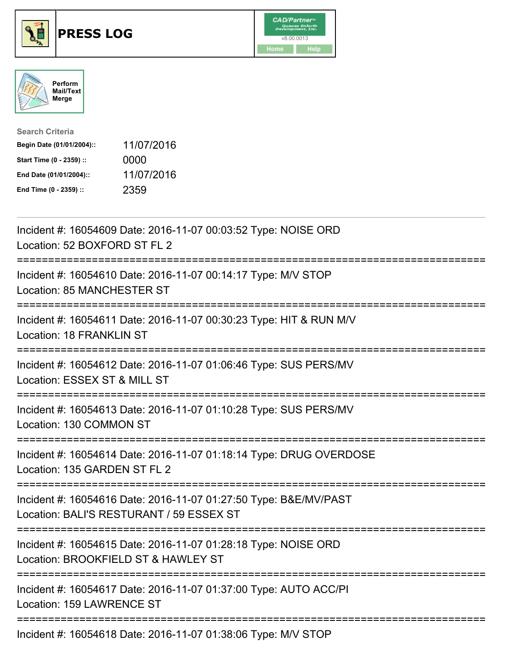





| <b>Search Criteria</b>    |            |
|---------------------------|------------|
| Begin Date (01/01/2004):: | 11/07/2016 |
| Start Time (0 - 2359) ::  | 0000       |
| End Date (01/01/2004)::   | 11/07/2016 |
| End Time (0 - 2359) ::    | 2359       |

| Incident #: 16054609 Date: 2016-11-07 00:03:52 Type: NOISE ORD<br>Location: 52 BOXFORD ST FL 2                           |
|--------------------------------------------------------------------------------------------------------------------------|
| Incident #: 16054610 Date: 2016-11-07 00:14:17 Type: M/V STOP<br>Location: 85 MANCHESTER ST                              |
| Incident #: 16054611 Date: 2016-11-07 00:30:23 Type: HIT & RUN M/V<br><b>Location: 18 FRANKLIN ST</b>                    |
| Incident #: 16054612 Date: 2016-11-07 01:06:46 Type: SUS PERS/MV<br>Location: ESSEX ST & MILL ST<br>-------------------- |
| Incident #: 16054613 Date: 2016-11-07 01:10:28 Type: SUS PERS/MV<br>Location: 130 COMMON ST                              |
| Incident #: 16054614 Date: 2016-11-07 01:18:14 Type: DRUG OVERDOSE<br>Location: 135 GARDEN ST FL 2                       |
| Incident #: 16054616 Date: 2016-11-07 01:27:50 Type: B&E/MV/PAST<br>Location: BALI'S RESTURANT / 59 ESSEX ST             |
| Incident #: 16054615 Date: 2016-11-07 01:28:18 Type: NOISE ORD<br>Location: BROOKFIELD ST & HAWLEY ST                    |
| Incident #: 16054617 Date: 2016-11-07 01:37:00 Type: AUTO ACC/PI<br>Location: 159 LAWRENCE ST<br>-------------           |
|                                                                                                                          |

Incident #: 16054618 Date: 2016-11-07 01:38:06 Type: M/V STOP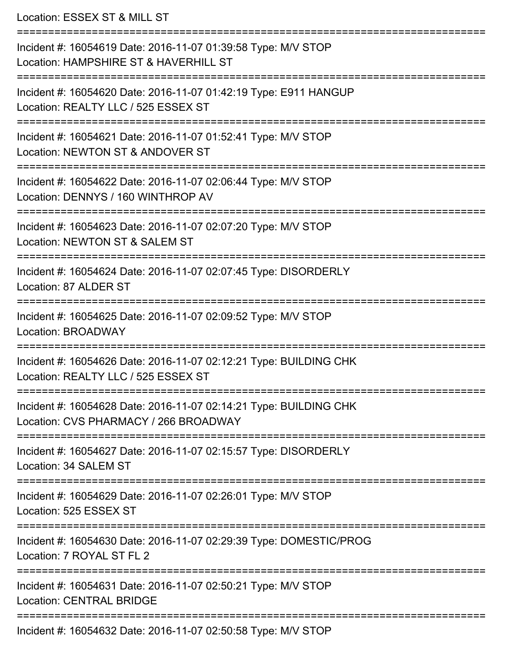Location: ESSEX ST & MILL ST =========================================================================== Incident #: 16054619 Date: 2016-11-07 01:39:58 Type: M/V STOP Location: HAMPSHIRE ST & HAVERHILL ST =========================================================================== Incident #: 16054620 Date: 2016-11-07 01:42:19 Type: E911 HANGUP Location: REALTY LLC / 525 ESSEX ST =========================================================================== Incident #: 16054621 Date: 2016-11-07 01:52:41 Type: M/V STOP Location: NEWTON ST & ANDOVER ST =========================================================================== Incident #: 16054622 Date: 2016-11-07 02:06:44 Type: M/V STOP Location: DENNYS / 160 WINTHROP AV =========================================================================== Incident #: 16054623 Date: 2016-11-07 02:07:20 Type: M/V STOP Location: NEWTON ST & SALEM ST =========================================================================== Incident #: 16054624 Date: 2016-11-07 02:07:45 Type: DISORDERLY Location: 87 ALDER ST =========================================================================== Incident #: 16054625 Date: 2016-11-07 02:09:52 Type: M/V STOP Location: BROADWAY =========================================================================== Incident #: 16054626 Date: 2016-11-07 02:12:21 Type: BUILDING CHK Location: REALTY LLC / 525 ESSEX ST =========================================================================== Incident #: 16054628 Date: 2016-11-07 02:14:21 Type: BUILDING CHK Location: CVS PHARMACY / 266 BROADWAY =========================================================================== Incident #: 16054627 Date: 2016-11-07 02:15:57 Type: DISORDERLY Location: 34 SALEM ST =========================================================================== Incident #: 16054629 Date: 2016-11-07 02:26:01 Type: M/V STOP Location: 525 ESSEX ST =========================================================================== Incident #: 16054630 Date: 2016-11-07 02:29:39 Type: DOMESTIC/PROG Location: 7 ROYAL ST FL 2 =========================================================================== Incident #: 16054631 Date: 2016-11-07 02:50:21 Type: M/V STOP Location: CENTRAL BRIDGE

===========================================================================

Incident #: 16054632 Date: 2016-11-07 02:50:58 Type: M/V STOP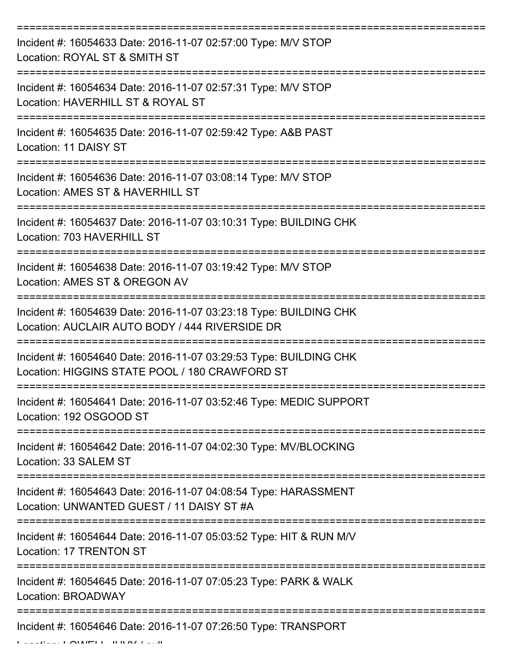| Incident #: 16054633 Date: 2016-11-07 02:57:00 Type: M/V STOP<br>Location: ROYAL ST & SMITH ST                      |
|---------------------------------------------------------------------------------------------------------------------|
| Incident #: 16054634 Date: 2016-11-07 02:57:31 Type: M/V STOP<br>Location: HAVERHILL ST & ROYAL ST                  |
| Incident #: 16054635 Date: 2016-11-07 02:59:42 Type: A&B PAST<br><b>Location: 11 DAISY ST</b>                       |
| Incident #: 16054636 Date: 2016-11-07 03:08:14 Type: M/V STOP<br>Location: AMES ST & HAVERHILL ST                   |
| Incident #: 16054637 Date: 2016-11-07 03:10:31 Type: BUILDING CHK<br>Location: 703 HAVERHILL ST                     |
| Incident #: 16054638 Date: 2016-11-07 03:19:42 Type: M/V STOP<br>Location: AMES ST & OREGON AV                      |
| Incident #: 16054639 Date: 2016-11-07 03:23:18 Type: BUILDING CHK<br>Location: AUCLAIR AUTO BODY / 444 RIVERSIDE DR |
| Incident #: 16054640 Date: 2016-11-07 03:29:53 Type: BUILDING CHK<br>Location: HIGGINS STATE POOL / 180 CRAWFORD ST |
| Incident #: 16054641 Date: 2016-11-07 03:52:46 Type: MEDIC SUPPORT<br>Location: 192 OSGOOD ST                       |
| Incident #: 16054642 Date: 2016-11-07 04:02:30 Type: MV/BLOCKING<br>Location: 33 SALEM ST                           |
| Incident #: 16054643 Date: 2016-11-07 04:08:54 Type: HARASSMENT<br>Location: UNWANTED GUEST / 11 DAISY ST #A        |
| Incident #: 16054644 Date: 2016-11-07 05:03:52 Type: HIT & RUN M/V<br>Location: 17 TRENTON ST                       |
| -----------------------<br>Incident #: 16054645 Date: 2016-11-07 07:05:23 Type: PARK & WALK<br>Location: BROADWAY   |
| Incident #: 16054646 Date: 2016-11-07 07:26:50 Type: TRANSPORT                                                      |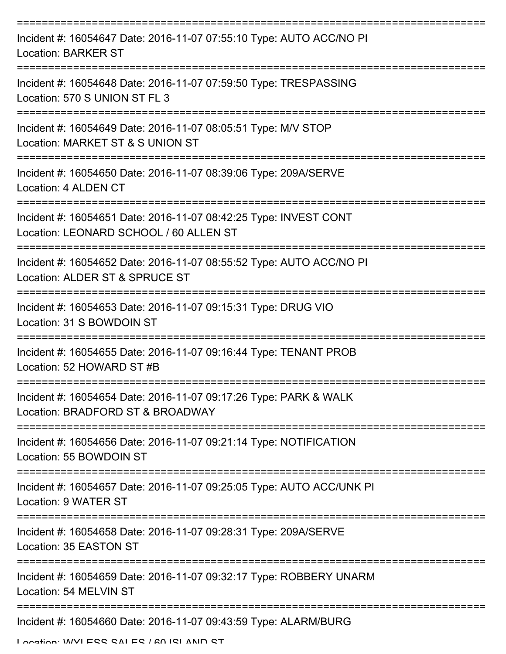| Incident #: 16054647 Date: 2016-11-07 07:55:10 Type: AUTO ACC/NO PI<br><b>Location: BARKER ST</b>                                   |
|-------------------------------------------------------------------------------------------------------------------------------------|
| Incident #: 16054648 Date: 2016-11-07 07:59:50 Type: TRESPASSING<br>Location: 570 S UNION ST FL 3                                   |
| Incident #: 16054649 Date: 2016-11-07 08:05:51 Type: M/V STOP<br>Location: MARKET ST & S UNION ST                                   |
| Incident #: 16054650 Date: 2016-11-07 08:39:06 Type: 209A/SERVE<br>Location: 4 ALDEN CT                                             |
| Incident #: 16054651 Date: 2016-11-07 08:42:25 Type: INVEST CONT<br>Location: LEONARD SCHOOL / 60 ALLEN ST                          |
| ==========================<br>Incident #: 16054652 Date: 2016-11-07 08:55:52 Type: AUTO ACC/NO PI<br>Location: ALDER ST & SPRUCE ST |
| Incident #: 16054653 Date: 2016-11-07 09:15:31 Type: DRUG VIO<br>Location: 31 S BOWDOIN ST                                          |
| Incident #: 16054655 Date: 2016-11-07 09:16:44 Type: TENANT PROB<br>Location: 52 HOWARD ST #B                                       |
| Incident #: 16054654 Date: 2016-11-07 09:17:26 Type: PARK & WALK<br>Location: BRADFORD ST & BROADWAY                                |
| Incident #: 16054656 Date: 2016-11-07 09:21:14 Type: NOTIFICATION<br>Location: 55 BOWDOIN ST                                        |
| Incident #: 16054657 Date: 2016-11-07 09:25:05 Type: AUTO ACC/UNK PI<br>Location: 9 WATER ST                                        |
| ===================<br>Incident #: 16054658 Date: 2016-11-07 09:28:31 Type: 209A/SERVE<br>Location: 35 EASTON ST                    |
| Incident #: 16054659 Date: 2016-11-07 09:32:17 Type: ROBBERY UNARM<br>Location: 54 MELVIN ST                                        |
| Incident #: 16054660 Date: 2016-11-07 09:43:59 Type: ALARM/BURG                                                                     |

Location: WVLESS SALES / 60 ISLAND ST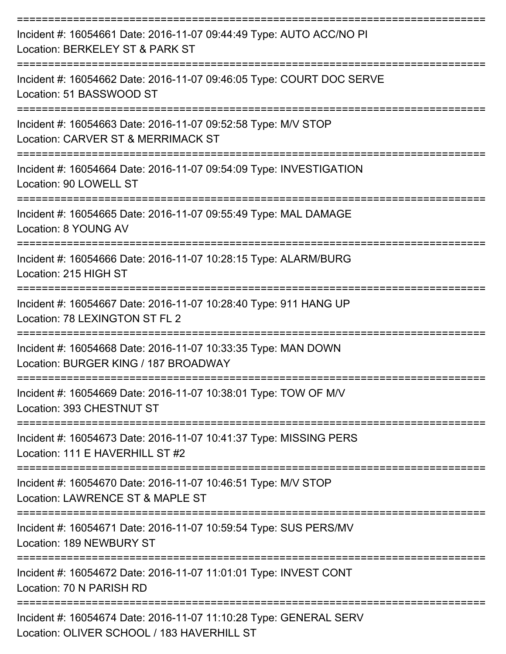| Incident #: 16054661 Date: 2016-11-07 09:44:49 Type: AUTO ACC/NO PI<br>Location: BERKELEY ST & PARK ST          |
|-----------------------------------------------------------------------------------------------------------------|
| Incident #: 16054662 Date: 2016-11-07 09:46:05 Type: COURT DOC SERVE<br>Location: 51 BASSWOOD ST                |
| Incident #: 16054663 Date: 2016-11-07 09:52:58 Type: M/V STOP<br>Location: CARVER ST & MERRIMACK ST             |
| Incident #: 16054664 Date: 2016-11-07 09:54:09 Type: INVESTIGATION<br>Location: 90 LOWELL ST                    |
| Incident #: 16054665 Date: 2016-11-07 09:55:49 Type: MAL DAMAGE<br>Location: 8 YOUNG AV                         |
| Incident #: 16054666 Date: 2016-11-07 10:28:15 Type: ALARM/BURG<br>Location: 215 HIGH ST                        |
| Incident #: 16054667 Date: 2016-11-07 10:28:40 Type: 911 HANG UP<br>Location: 78 LEXINGTON ST FL 2              |
| Incident #: 16054668 Date: 2016-11-07 10:33:35 Type: MAN DOWN<br>Location: BURGER KING / 187 BROADWAY           |
| Incident #: 16054669 Date: 2016-11-07 10:38:01 Type: TOW OF M/V<br>Location: 393 CHESTNUT ST                    |
| Incident #: 16054673 Date: 2016-11-07 10:41:37 Type: MISSING PERS<br>Location: 111 E HAVERHILL ST #2            |
| Incident #: 16054670 Date: 2016-11-07 10:46:51 Type: M/V STOP<br>Location: LAWRENCE ST & MAPLE ST               |
| Incident #: 16054671 Date: 2016-11-07 10:59:54 Type: SUS PERS/MV<br>Location: 189 NEWBURY ST                    |
| Incident #: 16054672 Date: 2016-11-07 11:01:01 Type: INVEST CONT<br>Location: 70 N PARISH RD                    |
| Incident #: 16054674 Date: 2016-11-07 11:10:28 Type: GENERAL SERV<br>Location: OLIVER SCHOOL / 183 HAVERHILL ST |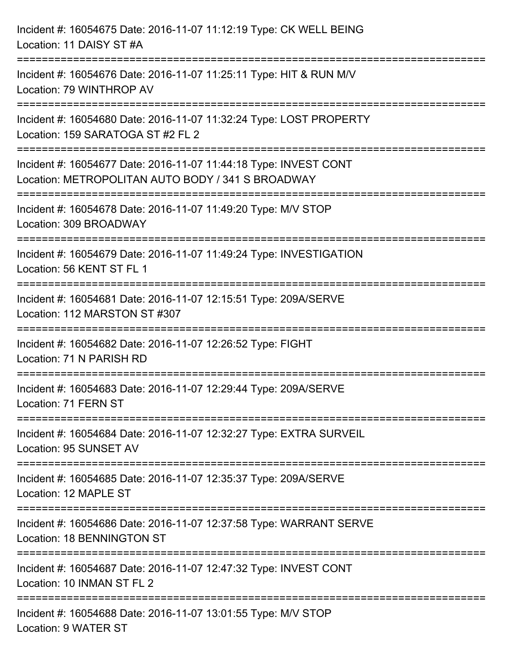| Incident #: 16054675 Date: 2016-11-07 11:12:19 Type: CK WELL BEING<br>Location: 11 DAISY ST #A                                                                             |
|----------------------------------------------------------------------------------------------------------------------------------------------------------------------------|
| ==================================<br>Incident #: 16054676 Date: 2016-11-07 11:25:11 Type: HIT & RUN M/V<br>Location: 79 WINTHROP AV<br>----------------<br>-------------- |
| Incident #: 16054680 Date: 2016-11-07 11:32:24 Type: LOST PROPERTY<br>Location: 159 SARATOGA ST #2 FL 2                                                                    |
| Incident #: 16054677 Date: 2016-11-07 11:44:18 Type: INVEST CONT<br>Location: METROPOLITAN AUTO BODY / 341 S BROADWAY<br>================================                  |
| Incident #: 16054678 Date: 2016-11-07 11:49:20 Type: M/V STOP<br>Location: 309 BROADWAY                                                                                    |
| Incident #: 16054679 Date: 2016-11-07 11:49:24 Type: INVESTIGATION<br>Location: 56 KENT ST FL 1                                                                            |
| Incident #: 16054681 Date: 2016-11-07 12:15:51 Type: 209A/SERVE<br>Location: 112 MARSTON ST #307                                                                           |
| Incident #: 16054682 Date: 2016-11-07 12:26:52 Type: FIGHT<br>Location: 71 N PARISH RD                                                                                     |
| Incident #: 16054683 Date: 2016-11-07 12:29:44 Type: 209A/SERVE<br>Location: 71 FERN ST                                                                                    |
| Incident #: 16054684 Date: 2016-11-07 12:32:27 Type: EXTRA SURVEIL<br>Location: 95 SUNSET AV                                                                               |
| Incident #: 16054685 Date: 2016-11-07 12:35:37 Type: 209A/SERVE<br>Location: 12 MAPLE ST                                                                                   |
| Incident #: 16054686 Date: 2016-11-07 12:37:58 Type: WARRANT SERVE<br><b>Location: 18 BENNINGTON ST</b>                                                                    |
| Incident #: 16054687 Date: 2016-11-07 12:47:32 Type: INVEST CONT<br>Location: 10 INMAN ST FL 2                                                                             |
| Incident #: 16054688 Date: 2016-11-07 13:01:55 Type: M/V STOP<br>Location: 9 WATER ST                                                                                      |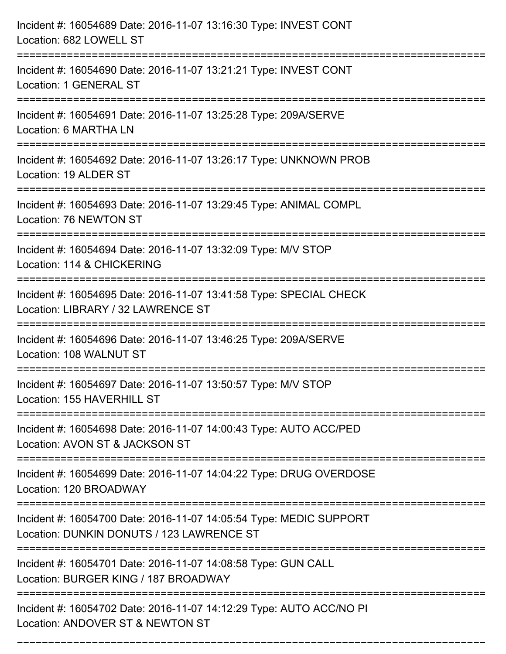| Incident #: 16054689 Date: 2016-11-07 13:16:30 Type: INVEST CONT<br>Location: 682 LOWELL ST                     |
|-----------------------------------------------------------------------------------------------------------------|
| Incident #: 16054690 Date: 2016-11-07 13:21:21 Type: INVEST CONT<br>Location: 1 GENERAL ST                      |
| Incident #: 16054691 Date: 2016-11-07 13:25:28 Type: 209A/SERVE<br>Location: 6 MARTHA LN                        |
| Incident #: 16054692 Date: 2016-11-07 13:26:17 Type: UNKNOWN PROB<br>Location: 19 ALDER ST                      |
| Incident #: 16054693 Date: 2016-11-07 13:29:45 Type: ANIMAL COMPL<br>Location: 76 NEWTON ST                     |
| Incident #: 16054694 Date: 2016-11-07 13:32:09 Type: M/V STOP<br>Location: 114 & CHICKERING                     |
| Incident #: 16054695 Date: 2016-11-07 13:41:58 Type: SPECIAL CHECK<br>Location: LIBRARY / 32 LAWRENCE ST        |
| Incident #: 16054696 Date: 2016-11-07 13:46:25 Type: 209A/SERVE<br>Location: 108 WALNUT ST                      |
| Incident #: 16054697 Date: 2016-11-07 13:50:57 Type: M/V STOP<br>Location: 155 HAVERHILL ST                     |
| Incident #: 16054698 Date: 2016-11-07 14:00:43 Type: AUTO ACC/PED<br>Location: AVON ST & JACKSON ST             |
| Incident #: 16054699 Date: 2016-11-07 14:04:22 Type: DRUG OVERDOSE<br>Location: 120 BROADWAY                    |
| Incident #: 16054700 Date: 2016-11-07 14:05:54 Type: MEDIC SUPPORT<br>Location: DUNKIN DONUTS / 123 LAWRENCE ST |
| Incident #: 16054701 Date: 2016-11-07 14:08:58 Type: GUN CALL<br>Location: BURGER KING / 187 BROADWAY           |
| Incident #: 16054702 Date: 2016-11-07 14:12:29 Type: AUTO ACC/NO PI<br>Location: ANDOVER ST & NEWTON ST         |

===========================================================================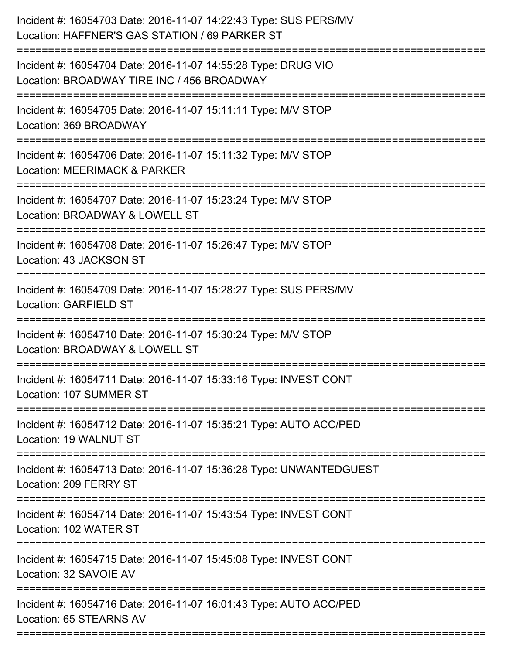| Incident #: 16054703 Date: 2016-11-07 14:22:43 Type: SUS PERS/MV<br>Location: HAFFNER'S GAS STATION / 69 PARKER ST |
|--------------------------------------------------------------------------------------------------------------------|
| Incident #: 16054704 Date: 2016-11-07 14:55:28 Type: DRUG VIO<br>Location: BROADWAY TIRE INC / 456 BROADWAY        |
| Incident #: 16054705 Date: 2016-11-07 15:11:11 Type: M/V STOP<br>Location: 369 BROADWAY                            |
| Incident #: 16054706 Date: 2016-11-07 15:11:32 Type: M/V STOP<br><b>Location: MEERIMACK &amp; PARKER</b>           |
| Incident #: 16054707 Date: 2016-11-07 15:23:24 Type: M/V STOP<br>Location: BROADWAY & LOWELL ST                    |
| Incident #: 16054708 Date: 2016-11-07 15:26:47 Type: M/V STOP<br>Location: 43 JACKSON ST                           |
| Incident #: 16054709 Date: 2016-11-07 15:28:27 Type: SUS PERS/MV<br><b>Location: GARFIELD ST</b>                   |
| Incident #: 16054710 Date: 2016-11-07 15:30:24 Type: M/V STOP<br>Location: BROADWAY & LOWELL ST                    |
| Incident #: 16054711 Date: 2016-11-07 15:33:16 Type: INVEST CONT<br>Location: 107 SUMMER ST                        |
| Incident #: 16054712 Date: 2016-11-07 15:35:21 Type: AUTO ACC/PED<br>Location: 19 WALNUT ST                        |
| Incident #: 16054713 Date: 2016-11-07 15:36:28 Type: UNWANTEDGUEST<br>Location: 209 FERRY ST                       |
| Incident #: 16054714 Date: 2016-11-07 15:43:54 Type: INVEST CONT<br>Location: 102 WATER ST                         |
| Incident #: 16054715 Date: 2016-11-07 15:45:08 Type: INVEST CONT<br>Location: 32 SAVOIE AV                         |
| Incident #: 16054716 Date: 2016-11-07 16:01:43 Type: AUTO ACC/PED<br>Location: 65 STEARNS AV                       |
|                                                                                                                    |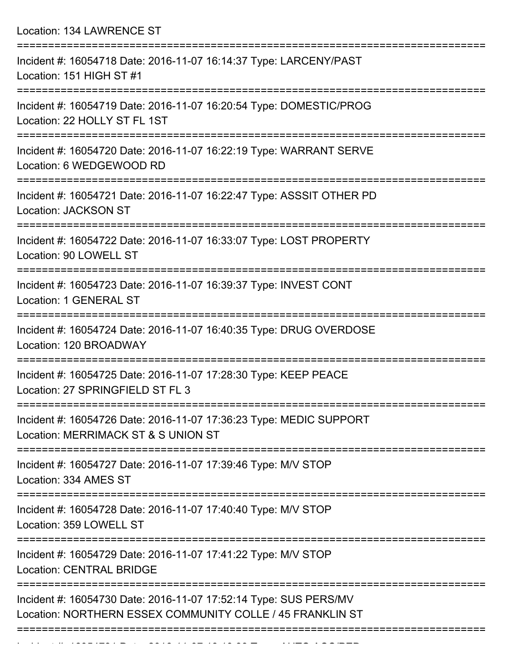Location: 134 LAWRENCE ST

| Incident #: 16054718 Date: 2016-11-07 16:14:37 Type: LARCENY/PAST<br>Location: 151 HIGH ST #1                                 |
|-------------------------------------------------------------------------------------------------------------------------------|
| Incident #: 16054719 Date: 2016-11-07 16:20:54 Type: DOMESTIC/PROG<br>Location: 22 HOLLY ST FL 1ST                            |
| Incident #: 16054720 Date: 2016-11-07 16:22:19 Type: WARRANT SERVE<br>Location: 6 WEDGEWOOD RD                                |
| Incident #: 16054721 Date: 2016-11-07 16:22:47 Type: ASSSIT OTHER PD<br><b>Location: JACKSON ST</b>                           |
| :======================<br>Incident #: 16054722 Date: 2016-11-07 16:33:07 Type: LOST PROPERTY<br>Location: 90 LOWELL ST       |
| Incident #: 16054723 Date: 2016-11-07 16:39:37 Type: INVEST CONT<br>Location: 1 GENERAL ST                                    |
| Incident #: 16054724 Date: 2016-11-07 16:40:35 Type: DRUG OVERDOSE<br>Location: 120 BROADWAY                                  |
| Incident #: 16054725 Date: 2016-11-07 17:28:30 Type: KEEP PEACE<br>Location: 27 SPRINGFIELD ST FL 3                           |
| Incident #: 16054726 Date: 2016-11-07 17:36:23 Type: MEDIC SUPPORT<br>Location: MERRIMACK ST & S UNION ST                     |
| Incident #: 16054727 Date: 2016-11-07 17:39:46 Type: M/V STOP<br>Location: 334 AMES ST                                        |
| Incident #: 16054728 Date: 2016-11-07 17:40:40 Type: M/V STOP<br>Location: 359 LOWELL ST                                      |
| Incident #: 16054729 Date: 2016-11-07 17:41:22 Type: M/V STOP<br><b>Location: CENTRAL BRIDGE</b>                              |
| Incident #: 16054730 Date: 2016-11-07 17:52:14 Type: SUS PERS/MV<br>Location: NORTHERN ESSEX COMMUNITY COLLE / 45 FRANKLIN ST |
|                                                                                                                               |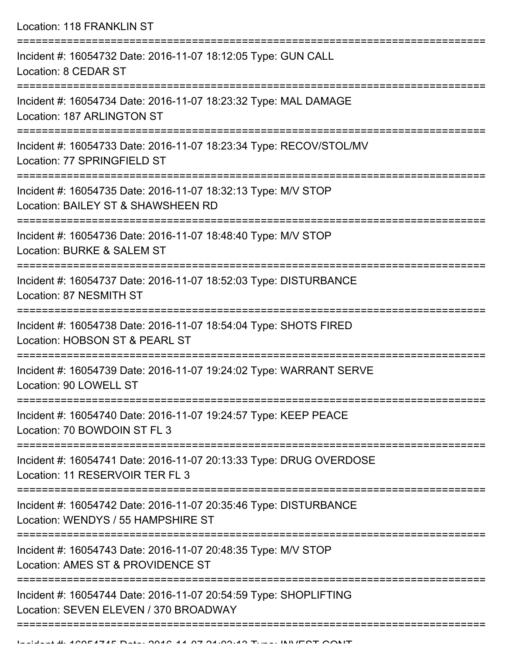Location: 118 FRANKLIN ST =========================================================================== Incident #: 16054732 Date: 2016-11-07 18:12:05 Type: GUN CALL Location: 8 CEDAR ST =========================================================================== Incident #: 16054734 Date: 2016-11-07 18:23:32 Type: MAL DAMAGE Location: 187 ARLINGTON ST =========================================================================== Incident #: 16054733 Date: 2016-11-07 18:23:34 Type: RECOV/STOL/MV Location: 77 SPRINGFIELD ST =========================================================================== Incident #: 16054735 Date: 2016-11-07 18:32:13 Type: M/V STOP Location: BAILEY ST & SHAWSHEEN RD =========================================================================== Incident #: 16054736 Date: 2016-11-07 18:48:40 Type: M/V STOP Location: BURKE & SALEM ST =========================================================================== Incident #: 16054737 Date: 2016-11-07 18:52:03 Type: DISTURBANCE Location: 87 NESMITH ST =========================================================================== Incident #: 16054738 Date: 2016-11-07 18:54:04 Type: SHOTS FIRED Location: HOBSON ST & PEARL ST =========================================================================== Incident #: 16054739 Date: 2016-11-07 19:24:02 Type: WARRANT SERVE Location: 90 LOWELL ST =========================================================================== Incident #: 16054740 Date: 2016-11-07 19:24:57 Type: KEEP PEACE Location: 70 BOWDOIN ST FL 3 =========================================================================== Incident #: 16054741 Date: 2016-11-07 20:13:33 Type: DRUG OVERDOSE Location: 11 RESERVOIR TER FL 3 =========================================================================== Incident #: 16054742 Date: 2016-11-07 20:35:46 Type: DISTURBANCE Location: WENDYS / 55 HAMPSHIRE ST =========================================================================== Incident #: 16054743 Date: 2016-11-07 20:48:35 Type: M/V STOP Location: AMES ST & PROVIDENCE ST =========================================================================== Incident #: 16054744 Date: 2016-11-07 20:54:59 Type: SHOPLIFTING Location: SEVEN ELEVEN / 370 BROADWAY

===========================================================================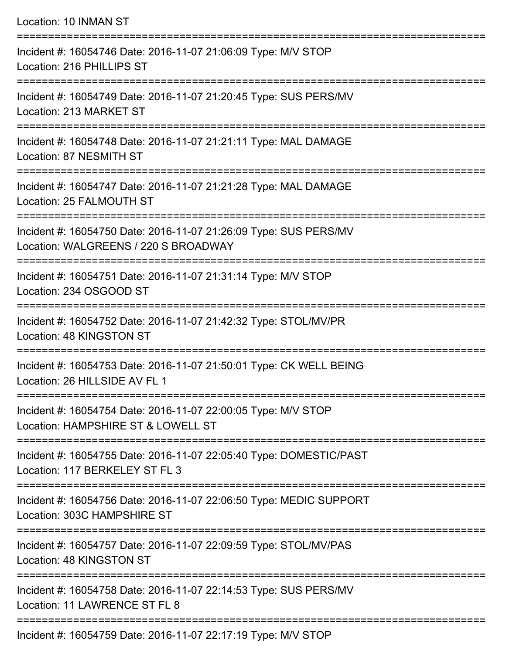| Location: 10 INMAN ST                                                                                                             |
|-----------------------------------------------------------------------------------------------------------------------------------|
| Incident #: 16054746 Date: 2016-11-07 21:06:09 Type: M/V STOP<br>Location: 216 PHILLIPS ST                                        |
| Incident #: 16054749 Date: 2016-11-07 21:20:45 Type: SUS PERS/MV<br>Location: 213 MARKET ST<br>---------------------------------- |
| ============================<br>Incident #: 16054748 Date: 2016-11-07 21:21:11 Type: MAL DAMAGE<br>Location: 87 NESMITH ST        |
| Incident #: 16054747 Date: 2016-11-07 21:21:28 Type: MAL DAMAGE<br>Location: 25 FALMOUTH ST                                       |
| Incident #: 16054750 Date: 2016-11-07 21:26:09 Type: SUS PERS/MV<br>Location: WALGREENS / 220 S BROADWAY                          |
| :=============================<br>Incident #: 16054751 Date: 2016-11-07 21:31:14 Type: M/V STOP<br>Location: 234 OSGOOD ST        |
| Incident #: 16054752 Date: 2016-11-07 21:42:32 Type: STOL/MV/PR<br>Location: 48 KINGSTON ST                                       |
| Incident #: 16054753 Date: 2016-11-07 21:50:01 Type: CK WELL BEING<br>Location: 26 HILLSIDE AV FL 1                               |
| Incident #: 16054754 Date: 2016-11-07 22:00:05 Type: M/V STOP<br>Location: HAMPSHIRE ST & LOWELL ST                               |
| Incident #: 16054755 Date: 2016-11-07 22:05:40 Type: DOMESTIC/PAST<br>Location: 117 BERKELEY ST FL 3                              |
| Incident #: 16054756 Date: 2016-11-07 22:06:50 Type: MEDIC SUPPORT<br>Location: 303C HAMPSHIRE ST                                 |
| Incident #: 16054757 Date: 2016-11-07 22:09:59 Type: STOL/MV/PAS<br>Location: 48 KINGSTON ST                                      |
| Incident #: 16054758 Date: 2016-11-07 22:14:53 Type: SUS PERS/MV<br>Location: 11 LAWRENCE ST FL 8                                 |
|                                                                                                                                   |

Incident #: 16054759 Date: 2016-11-07 22:17:19 Type: M/V STOP